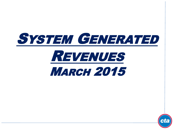

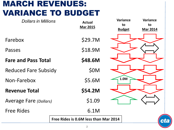## MARCH REVENUES: VARIANCE TO BUDGET

| <b>Dollars in Millions</b>    | <b>Actual</b><br><b>Mar 2015</b>            | <b>Variance</b><br><b>Variance</b><br>to<br>to<br><b>Budget</b><br><b>Mar 2014</b> |  |
|-------------------------------|---------------------------------------------|------------------------------------------------------------------------------------|--|
| Farebox                       | \$29.7M                                     |                                                                                    |  |
| Passes                        | \$18.9M                                     |                                                                                    |  |
| <b>Fare and Pass Total</b>    | \$48.6M                                     |                                                                                    |  |
| <b>Reduced Fare Subsidy</b>   | <b>\$0M</b>                                 |                                                                                    |  |
| Non-Farebox                   | \$5.6M                                      | 1.0M                                                                               |  |
| <b>Revenue Total</b>          | \$54.2M                                     |                                                                                    |  |
| <b>Average Fare (Dollars)</b> | \$1.09                                      |                                                                                    |  |
| <b>Free Rides</b>             | 6.1M                                        |                                                                                    |  |
|                               | Free Rides is 0.6M less than Mar 2014<br>CL |                                                                                    |  |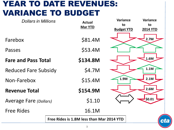## YEAR TO DATE REVENUES: VARIANCE TO BUDGET

| <b>Dollars in Millions</b>    | <b>Actual</b>                                   |          | <b>Variance</b><br>to | <b>Variance</b><br>to |
|-------------------------------|-------------------------------------------------|----------|-----------------------|-----------------------|
|                               | <b>Mar YTD</b>                                  |          | <b>Budget YTD</b>     | <b>2014 YTD</b>       |
| Farebox                       |                                                 | \$81.4M  |                       | 2.7M                  |
| Passes                        |                                                 | \$53.4M  |                       |                       |
| <b>Fare and Pass Total</b>    |                                                 | \$134.8M |                       | 1.6M                  |
| <b>Reduced Fare Subsidy</b>   |                                                 | \$4.7M   |                       | 1.1M                  |
| Non-Farebox                   |                                                 | \$15.4M  | 1.9M                  | 2.1M                  |
| <b>Revenue Total</b>          |                                                 | \$154.9M |                       | 2.6M                  |
| <b>Average Fare (Dollars)</b> |                                                 | \$1.10   |                       | \$0.01                |
| <b>Free Rides</b>             |                                                 | 16.1M    |                       |                       |
|                               | Free Rides is 1.8M less than Mar 2014 YTD<br>ct |          |                       |                       |
|                               |                                                 |          |                       |                       |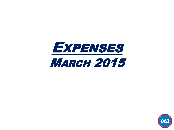

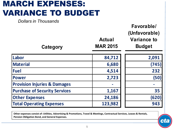## MARCH EXPENSES: VARIANCE TO BUDGET

*Dollars in Thousands*

| Category                                | <b>Actual</b><br><b>MAR 2015</b> | Favorable/<br>(Unfavorable)<br><b>Variance to</b><br><b>Budget</b> |
|-----------------------------------------|----------------------------------|--------------------------------------------------------------------|
| Labor                                   | 84,712                           | 2,091                                                              |
| <b>Material</b>                         | 6,680                            | (745)                                                              |
| <b>Fuel</b>                             | 4,514                            | 232                                                                |
| <b>Power</b>                            | 2,723                            | (50)                                                               |
| <b>Provision Injuries &amp; Damages</b> |                                  |                                                                    |
| <b>Purchase of Security Services</b>    | 1,167                            | 35                                                                 |
| <b>Other Expenses</b>                   | 24,186                           | (620)                                                              |
| <b>Total Operating Expenses</b>         | 123,982                          | 943                                                                |

**Other expenses consist of: Utilities, Advertising & Promotions, Travel & Meetings, Contractual Services, Leases & Rentals, Pension Obligation Bond, and General Expenses.**